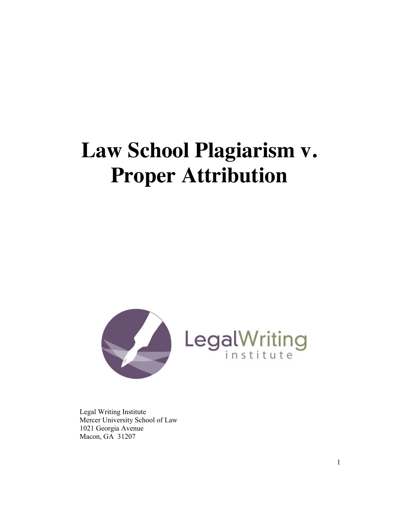# **Law School Plagiarism v. Proper Attribution**



 Legal Writing Institute Mercer University School of Law 1021 Georgia Avenue Macon, GA 31207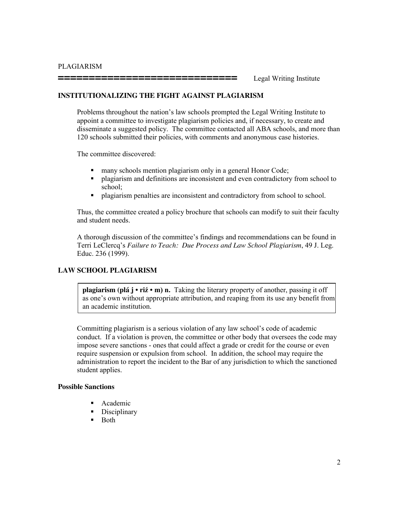**=============================** Legal Writing Institute

#### **INSTITUTIONALIZING THE FIGHT AGAINST PLAGIARISM**

Problems throughout the nation's law schools prompted the Legal Writing Institute to appoint a committee to investigate plagiarism policies and, if necessary, to create and disseminate a suggested policy. The committee contacted all ABA schools, and more than 120 schools submitted their policies, with comments and anonymous case histories.

The committee discovered:

- **nany schools mention plagiarism only in a general Honor Code;**
- plagiarism and definitions are inconsistent and even contradictory from school to school;
- plagiarism penalties are inconsistent and contradictory from school to school.

Thus, the committee created a policy brochure that schools can modify to suit their faculty and student needs.

A thorough discussion of the committee's findings and recommendations can be found in Terri LeClercq's *Failure to Teach: Due Process and Law School Plagiarism*, 49 J. Leg. Educ. 236 (1999).

#### **LAW SCHOOL PLAGIARISM**

**plagiarism (plá j • riź • m) n.** Taking the literary property of another, passing it off as one's own without appropriate attribution, and reaping from its use any benefit from an academic institution.

Committing plagiarism is a serious violation of any law school's code of academic conduct. If a violation is proven, the committee or other body that oversees the code may impose severe sanctions - ones that could affect a grade or credit for the course or even require suspension or expulsion from school. In addition, the school may require the administration to report the incident to the Bar of any jurisdiction to which the sanctioned student applies.

#### **Possible Sanctions**

- Academic
- Disciplinary
- $\blacksquare$  Both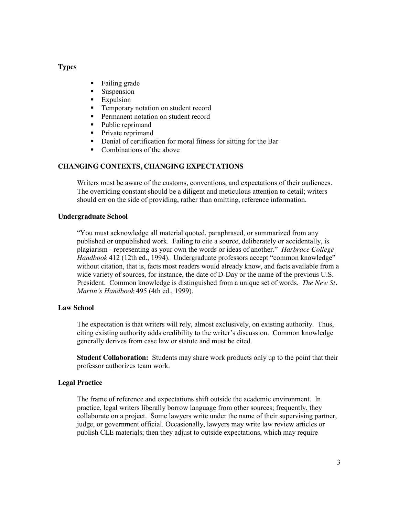#### **Types**

- Failing grade
- Suspension
- **Expulsion**
- **Temporary notation on student record**
- **Permanent notation on student record**
- Public reprimand
- Private reprimand
- Denial of certification for moral fitness for sitting for the Bar
- Combinations of the above

## **CHANGING CONTEXTS, CHANGING EXPECTATIONS**

 Writers must be aware of the customs, conventions, and expectations of their audiences. The overriding constant should be a diligent and meticulous attention to detail; writers should err on the side of providing, rather than omitting, reference information.

#### **Undergraduate School**

"You must acknowledge all material quoted, paraphrased, or summarized from any published or unpublished work. Failing to cite a source, deliberately or accidentally, is plagiarism - representing as your own the words or ideas of another." *Harbrace College Handbook* 412 (12th ed., 1994). Undergraduate professors accept "common knowledge" without citation, that is, facts most readers would already know, and facts available from a wide variety of sources, for instance, the date of D-Day or the name of the previous U.S. President. Common knowledge is distinguished from a unique set of words. *The New St. Martin's Handbook* 495 (4th ed., 1999).

#### **Law School**

The expectation is that writers will rely, almost exclusively, on existing authority. Thus, citing existing authority adds credibility to the writer's discussion. Common knowledge generally derives from case law or statute and must be cited.

**Student Collaboration:** Students may share work products only up to the point that their professor authorizes team work.

#### **Legal Practice**

The frame of reference and expectations shift outside the academic environment. In practice, legal writers liberally borrow language from other sources; frequently, they collaborate on a project. Some lawyers write under the name of their supervising partner, judge, or government official. Occasionally, lawyers may write law review articles or publish CLE materials; then they adjust to outside expectations, which may require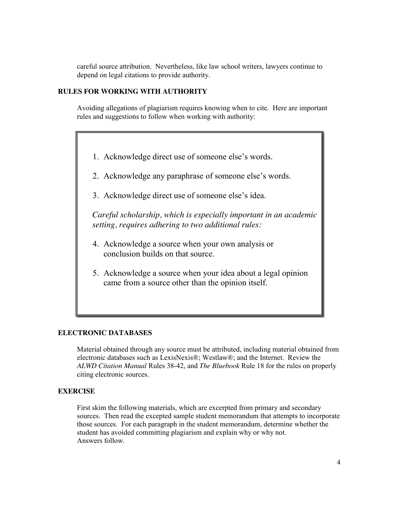careful source attribution. Nevertheless, like law school writers, lawyers continue to depend on legal citations to provide authority.

#### **RULES FOR WORKING WITH AUTHORITY**

 Avoiding allegations of plagiarism requires knowing when to cite. Here are important rules and suggestions to follow when working with authority:

- 1. Acknowledge direct use of someone else's words.
- 2. Acknowledge any paraphrase of someone else's words.
- 3. Acknowledge direct use of someone else's idea.

 *Careful scholarship, which is especially important in an academic setting, requires adhering to two additional rules:*

- 4. Acknowledge a source when your own analysis or conclusion builds on that source.
- 5. Acknowledge a source when your idea about a legal opinion came from a source other than the opinion itself.

#### **ELECTRONIC DATABASES**

Material obtained through any source must be attributed, including material obtained from electronic databases such as LexisNexis®; Westlaw®; and the Internet. Review the *ALWD Citation Manual* Rules 38-42, and *The Bluebook* Rule 18 for the rules on properly citing electronic sources.

#### **EXERCISE**

First skim the following materials, which are excerpted from primary and secondary sources. Then read the excepted sample student memorandum that attempts to incorporate those sources. For each paragraph in the student memorandum, determine whether the student has avoided committing plagiarism and explain why or why not. Answers follow.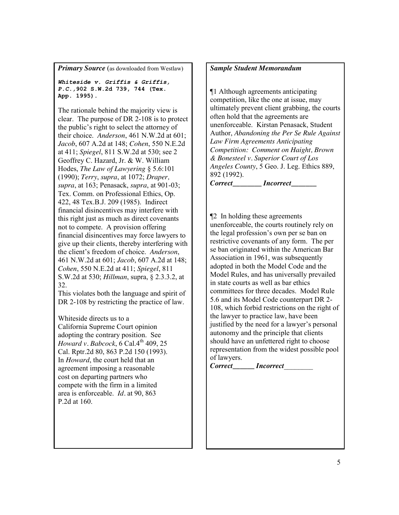**Primary Source** (as downloaded from Westlaw)

*Whiteside v. Griffis & Griffis, P.C.,***902 S.W.2d 739, 744 (Tex. App. 1995).**

The rationale behind the majority view is clear. The purpose of DR 2-108 is to protect the public's right to select the attorney of their choice. *Anderson*, 461 N.W.2d at 601; *Jacob*, 607 A.2d at 148; *Cohen*, 550 N.E.2d at 411; *Spiegel*, 811 S.W.2d at 530; see 2 Geoffrey C. Hazard, Jr. & W. William Hodes, *The Law of Lawyering* § 5.6:101 (1990); *Terry*, *supra*, at 1072; *Draper, supra*, at 163; Penasack, *supra*, at 901-03; Tex. Comm. on Professional Ethics, Op. 422, 48 Tex.B.J. 209 (1985). Indirect financial disincentives may interfere with this right just as much as direct covenants not to compete. A provision offering financial disincentives may force lawyers to give up their clients, thereby interfering with the client's freedom of choice. *Anderson*, 461 N.W.2d at 601; *Jacob*, 607 A.2d at 148; *Cohen*, 550 N.E.2d at 411; *Spiegel*, 811 S.W.2d at 530; *Hillman*, supra, § 2.3.3.2, at 32.

This violates both the language and spirit of DR 2-108 by restricting the practice of law.

Whiteside directs us to a California Supreme Court opinion adopting the contrary position. See *Howard v. Babcock*, 6 Cal.4<sup>th</sup> 409, 25 Cal. Rptr.2d 80, 863 P.2d 150 (1993). In *Howard*, the court held that an agreement imposing a reasonable cost on departing partners who compete with the firm in a limited area is enforceable. *Id.* at 90, 863 P.2d at 160.

## *Sample Student Memorandum*

¶1 Although agreements anticipating competition, like the one at issue, may ultimately prevent client grabbing, the courts often hold that the agreements are unenforceable. Kirstan Penasack, Student Author, *Abandoning the Per Se Rule Against Law Firm Agreements Anticipating Competition: Comment on Haight, Brown & Bonesteel v. Superior Court of Los Angeles County*, 5 Geo. J. Leg. Ethics 889, 892 (1992).

*Correct***\_\_\_\_\_\_\_\_** *Incorrect***\_\_\_\_\_\_\_** 

¶2 In holding these agreements unenforceable, the courts routinely rely on the legal profession's own per se ban on restrictive covenants of any form. The per se ban originated within the American Bar Association in 1961, was subsequently adopted in both the Model Code and the Model Rules, and has universally prevailed in state courts as well as bar ethics committees for three decades. Model Rule 5.6 and its Model Code counterpart DR 2- 108, which forbid restrictions on the right of the lawyer to practice law, have been justified by the need for a lawyer's personal autonomy and the principle that clients should have an unfettered right to choose representation from the widest possible pool of lawyers.

 $Correct$  *Incorrect*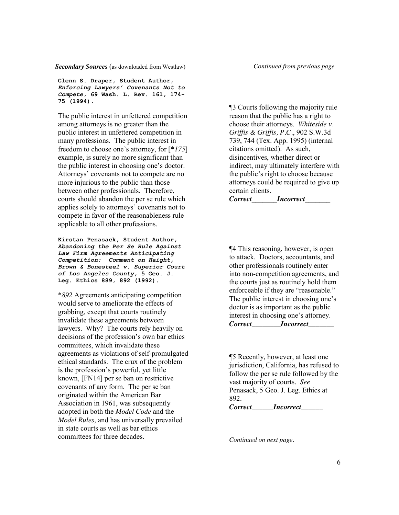*Secondary Sources* (as downloaded from Westlaw)

**Glenn S. Draper, Student Author,**  *Enforcing Lawyers' Covenants Not to Compete***, 69 Wash. L. Rev. 161, 174- 75 (1994).**

The public interest in unfettered competition among attorneys is no greater than the public interest in unfettered competition in many professions. The public interest in freedom to choose one's attorney, for [\**175*] example, is surely no more significant than the public interest in choosing one's doctor. Attorneys' covenants not to compete are no more injurious to the public than those between other professionals. Therefore, courts should abandon the per se rule which applies solely to attorneys' covenants not to compete in favor of the reasonableness rule applicable to all other professions.

**Kirstan Penasack, Student Author,** *Abandoning the Per Se Rule Against Law Firm Agreements Anticipating Competition: Comment on Haight, Brown & Bonesteel v. Superior Court of Los Angeles County***, 5 Geo. J. Leg. Ethics 889, 892 (1992).**

\**892* Agreements anticipating competition would serve to ameliorate the effects of grabbing, except that courts routinely invalidate these agreements between lawyers. Why? The courts rely heavily on decisions of the profession's own bar ethics committees, which invalidate these agreements as violations of self-promulgated ethical standards. The crux of the problem is the profession's powerful, yet little known, [FN14] per se ban on restrictive covenants of any form. The per se ban originated within the American Bar Association in 1961, was subsequently adopted in both the *Model Code* and the *Model Rules*, and has universally prevailed in state courts as well as bar ethics committees for three decades.

*Continued from previous page* 

¶3 Courts following the majority rule reason that the public has a right to choose their attorneys. *Whiteside v. Griffis & Griffis, P.C.*, 902 S.W.3d 739, 744 (Tex. App. 1995) (internal citations omitted). As such, disincentives, whether direct or indirect, may ultimately interfere with the public's right to choose because attorneys could be required to give up certain clients.

*Correct*\_\_\_\_\_\_\_*Incorrect*\_\_\_\_\_\_\_

¶4 This reasoning, however, is open to attack. Doctors, accountants, and other professionals routinely enter into non-competition agreements, and the courts just as routinely hold them enforceable if they are "reasonable." The public interest in choosing one's doctor is as important as the public interest in choosing one's attorney. *Correct\_\_\_\_\_\_\_\_Incorrect\_\_\_\_\_\_\_*

¶5 Recently, however, at least one jurisdiction, California, has refused to follow the per se rule followed by the vast majority of courts. *See* Penasack, 5 Geo. J. Leg. Ethics at 892. *Correct\_\_\_\_\_\_Incorrect\_\_\_\_\_\_* 

*Continued on next page.*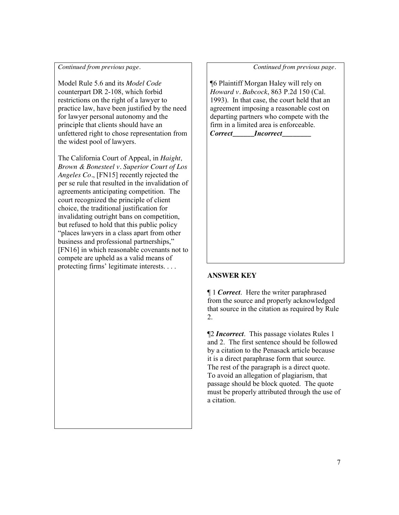#### *Continued from previous page.*

Model Rule 5.6 and its *Model Code* counterpart DR 2-108, which forbid restrictions on the right of a lawyer to practice law, have been justified by the need for lawyer personal autonomy and the principle that clients should have an unfettered right to chose representation from the widest pool of lawyers.

The California Court of Appeal, in *Haight, Brown & Bonesteel v. Superior Court of Los Angeles Co.*, [FN15] recently rejected the per se rule that resulted in the invalidation of agreements anticipating competition. The court recognized the principle of client choice, the traditional justification for invalidating outright bans on competition, but refused to hold that this public policy "places lawyers in a class apart from other business and professional partnerships," [FN16] in which reasonable covenants not to compete are upheld as a valid means of protecting firms' legitimate interests. . . .

 *Continued from previous page.* 

¶6 Plaintiff Morgan Haley will rely on *Howard v. Babcock*, 863 P.2d 150 (Cal. 1993). In that case, the court held that an agreement imposing a reasonable cost on departing partners who compete with the firm in a limited area is enforceable.

*Correct\_\_\_\_\_\_Incorrect\_\_\_\_\_\_\_\_* 

# **ANSWER KEY**

¶ 1 *Correct*. Here the writer paraphrased from the source and properly acknowledged that source in the citation as required by Rule 2.

¶2 *Incorrect*. This passage violates Rules 1 and 2. The first sentence should be followed by a citation to the Penasack article because it is a direct paraphrase form that source. The rest of the paragraph is a direct quote. To avoid an allegation of plagiarism, that passage should be block quoted. The quote must be properly attributed through the use of a citation.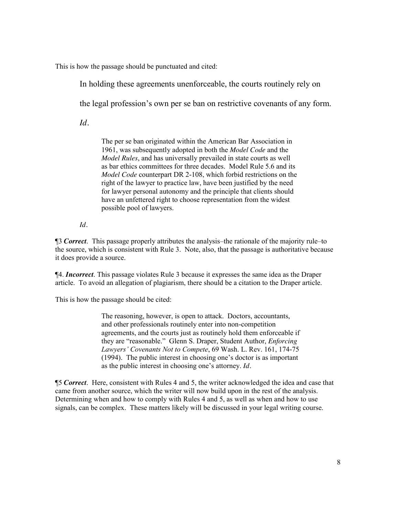This is how the passage should be punctuated and cited:

In holding these agreements unenforceable, the courts routinely rely on

the legal profession's own per se ban on restrictive covenants of any form.

*Id.*

The per se ban originated within the American Bar Association in 1961, was subsequently adopted in both the *Model Code* and the *Model Rules*, and has universally prevailed in state courts as well as bar ethics committees for three decades. Model Rule 5.6 and its *Model Code* counterpart DR 2-108, which forbid restrictions on the right of the lawyer to practice law, have been justified by the need for lawyer personal autonomy and the principle that clients should have an unfettered right to choose representation from the widest possible pool of lawyers.

*Id.* 

¶3 *Correct*. This passage properly attributes the analysis–the rationale of the majority rule–to the source, which is consistent with Rule 3. Note, also, that the passage is authoritative because it does provide a source.

¶4. *Incorrect*. This passage violates Rule 3 because it expresses the same idea as the Draper article. To avoid an allegation of plagiarism, there should be a citation to the Draper article.

This is how the passage should be cited:

The reasoning, however, is open to attack. Doctors, accountants, and other professionals routinely enter into non-competition agreements, and the courts just as routinely hold them enforceable if they are "reasonable." Glenn S. Draper, Student Author, *Enforcing Lawyers' Covenants Not to Compete*, 69 Wash. L. Rev. 161, 174-75 (1994). The public interest in choosing one's doctor is as important as the public interest in choosing one's attorney. *Id.*

¶5 *Correct*. Here, consistent with Rules 4 and 5, the writer acknowledged the idea and case that came from another source, which the writer will now build upon in the rest of the analysis. Determining when and how to comply with Rules 4 and 5, as well as when and how to use signals, can be complex. These matters likely will be discussed in your legal writing course.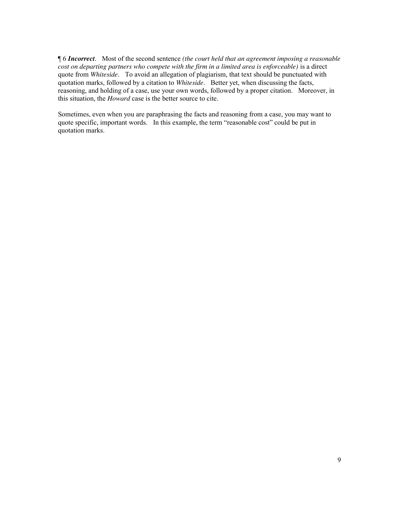¶ 6 *Incorrect*. Most of the second sentence *(the court held that an agreement imposing a reasonable cost on departing partners who compete with the firm in a limited area is enforceable)* is a direct quote from *Whiteside*. To avoid an allegation of plagiarism, that text should be punctuated with quotation marks, followed by a citation to *Whiteside*. Better yet, when discussing the facts, reasoning, and holding of a case, use your own words, followed by a proper citation. Moreover, in this situation, the *Howard* case is the better source to cite.

Sometimes, even when you are paraphrasing the facts and reasoning from a case, you may want to quote specific, important words. In this example, the term "reasonable cost" could be put in quotation marks.